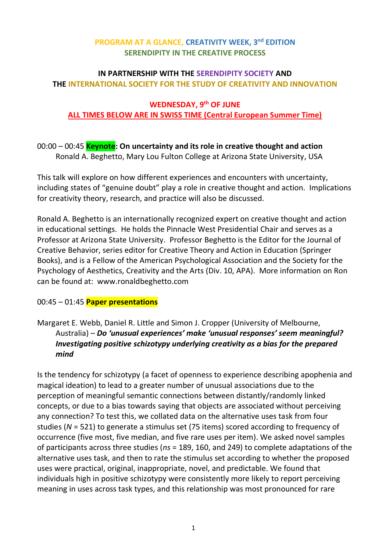### **PROGRAM AT A GLANCE, CREATIVITY WEEK, 3 nd EDITION SERENDIPITY IN THE CREATIVE PROCESS**

## **IN PARTNERSHIP WITH THE SERENDIPITY SOCIETY AND THE INTERNATIONAL SOCIETY FOR THE STUDY OF CREATIVITY AND INNOVATION**

#### **WEDNESDAY, 9 th OF JUNE ALL TIMES BELOW ARE IN SWISS TIME (Central European Summer Time)**

#### 00:00 – 00:45 **Keynote: On uncertainty and its role in creative thought and action** Ronald A. Beghetto, Mary Lou Fulton College at Arizona State University, USA

This talk will explore on how different experiences and encounters with uncertainty, including states of "genuine doubt" play a role in creative thought and action. Implications for creativity theory, research, and practice will also be discussed.

Ronald A. Beghetto is an internationally recognized expert on creative thought and action in educational settings. He holds the Pinnacle West Presidential Chair and serves as a Professor at Arizona State University. Professor Beghetto is the Editor for the Journal of Creative Behavior, series editor for Creative Theory and Action in Education (Springer Books), and is a Fellow of the American Psychological Association and the Society for the Psychology of Aesthetics, Creativity and the Arts (Div. 10, APA). More information on Ron can be found at: www.ronaldbeghetto.com

## 00:45 – 01:45 **Paper presentations**

## Margaret E. Webb, Daniel R. Little and Simon J. Cropper (University of Melbourne, Australia) – *Do 'unusual experiences' make 'unusual responses' seem meaningful? Investigating positive schizotypy underlying creativity as a bias for the prepared mind*

Is the tendency for schizotypy (a facet of openness to experience describing apophenia and magical ideation) to lead to a greater number of unusual associations due to the perception of meaningful semantic connections between distantly/randomly linked concepts, or due to a bias towards saying that objects are associated without perceiving any connection? To test this, we collated data on the alternative uses task from four studies (*N* = 521) to generate a stimulus set (75 items) scored according to frequency of occurrence (five most, five median, and five rare uses per item). We asked novel samples of participants across three studies (*ns* = 189, 160, and 249) to complete adaptations of the alternative uses task, and then to rate the stimulus set according to whether the proposed uses were practical, original, inappropriate, novel, and predictable. We found that individuals high in positive schizotypy were consistently more likely to report perceiving meaning in uses across task types, and this relationship was most pronounced for rare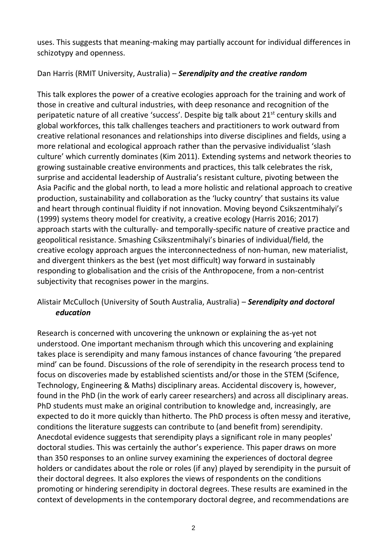uses. This suggests that meaning-making may partially account for individual differences in schizotypy and openness.

## Dan Harris (RMIT University, Australia) – *Serendipity and the creative random*

This talk explores the power of a creative ecologies approach for the training and work of those in creative and cultural industries, with deep resonance and recognition of the peripatetic nature of all creative 'success'. Despite big talk about 21st century skills and global workforces, this talk challenges teachers and practitioners to work outward from creative relational resonances and relationships into diverse disciplines and fields, using a more relational and ecological approach rather than the pervasive individualist 'slash culture' which currently dominates (Kim 2011). Extending systems and network theories to growing sustainable creative environments and practices, this talk celebrates the risk, surprise and accidental leadership of Australia's resistant culture, pivoting between the Asia Pacific and the global north, to lead a more holistic and relational approach to creative production, sustainability and collaboration as the 'lucky country' that sustains its value and heart through continual fluidity if not innovation. Moving beyond Csikszentmihalyi's (1999) systems theory model for creativity, a creative ecology (Harris 2016; 2017) approach starts with the culturally- and temporally-specific nature of creative practice and geopolitical resistance. Smashing Csikszentmihalyi's binaries of individual/field, the creative ecology approach argues the interconnectedness of non-human, new materialist, and divergent thinkers as the best (yet most difficult) way forward in sustainably responding to globalisation and the crisis of the Anthropocene, from a non-centrist subjectivity that recognises power in the margins.

## Alistair McCulloch (University of South Australia, Australia) – *Serendipity and doctoral education*

Research is concerned with uncovering the unknown or explaining the as-yet not understood. One important mechanism through which this uncovering and explaining takes place is serendipity and many famous instances of chance favouring 'the prepared mind' can be found. Discussions of the role of serendipity in the research process tend to focus on discoveries made by established scientists and/or those in the STEM (Scifence, Technology, Engineering & Maths) disciplinary areas. Accidental discovery is, however, found in the PhD (in the work of early career researchers) and across all disciplinary areas. PhD students must make an original contribution to knowledge and, increasingly, are expected to do it more quickly than hitherto. The PhD process is often messy and iterative, conditions the literature suggests can contribute to (and benefit from) serendipity. Anecdotal evidence suggests that serendipity plays a significant role in many peoples' doctoral studies. This was certainly the author's experience. This paper draws on more than 350 responses to an online survey examining the experiences of doctoral degree holders or candidates about the role or roles (if any) played by serendipity in the pursuit of their doctoral degrees. It also explores the views of respondents on the conditions promoting or hindering serendipity in doctoral degrees. These results are examined in the context of developments in the contemporary doctoral degree, and recommendations are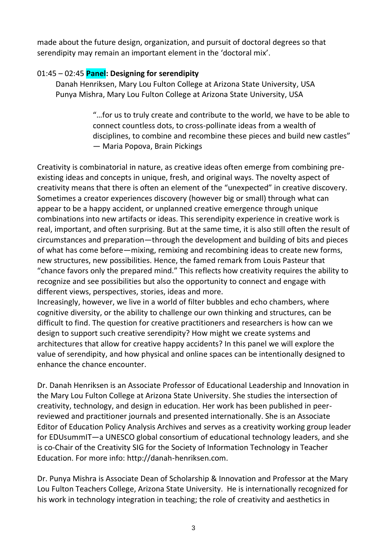made about the future design, organization, and pursuit of doctoral degrees so that serendipity may remain an important element in the 'doctoral mix'.

## 01:45 – 02:45 **Panel: Designing for serendipity**

Danah Henriksen, Mary Lou Fulton College at Arizona State University, USA Punya Mishra, Mary Lou Fulton College at Arizona State University, USA

> "…for us to truly create and contribute to the world, we have to be able to connect countless dots, to cross-pollinate ideas from a wealth of disciplines, to combine and recombine these pieces and build new castles" — Maria Popova, Brain Pickings

Creativity is combinatorial in nature, as creative ideas often emerge from combining preexisting ideas and concepts in unique, fresh, and original ways. The novelty aspect of creativity means that there is often an element of the "unexpected" in creative discovery. Sometimes a creator experiences discovery (however big or small) through what can appear to be a happy accident, or unplanned creative emergence through unique combinations into new artifacts or ideas. This serendipity experience in creative work is real, important, and often surprising. But at the same time, it is also still often the result of circumstances and preparation—through the development and building of bits and pieces of what has come before—mixing, remixing and recombining ideas to create new forms, new structures, new possibilities. Hence, the famed remark from Louis Pasteur that "chance favors only the prepared mind." This reflects how creativity requires the ability to recognize and see possibilities but also the opportunity to connect and engage with different views, perspectives, stories, ideas and more.

Increasingly, however, we live in a world of filter bubbles and echo chambers, where cognitive diversity, or the ability to challenge our own thinking and structures, can be difficult to find. The question for creative practitioners and researchers is how can we design to support such creative serendipity? How might we create systems and architectures that allow for creative happy accidents? In this panel we will explore the value of serendipity, and how physical and online spaces can be intentionally designed to enhance the chance encounter.

Dr. Danah Henriksen is an Associate Professor of Educational Leadership and Innovation in the Mary Lou Fulton College at Arizona State University. She studies the intersection of creativity, technology, and design in education. Her work has been published in peerreviewed and practitioner journals and presented internationally. She is an Associate Editor of Education Policy Analysis Archives and serves as a creativity working group leader for EDUsummIT—a UNESCO global consortium of educational technology leaders, and she is co-Chair of the Creativity SIG for the Society of Information Technology in Teacher Education. For more info: http://danah-henriksen.com.

Dr. Punya Mishra is Associate Dean of Scholarship & Innovation and Professor at the Mary Lou Fulton Teachers College, Arizona State University. He is internationally recognized for his work in technology integration in teaching; the role of creativity and aesthetics in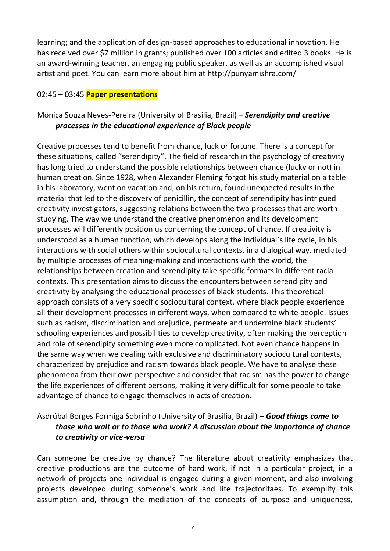learning; and the application of design-based approaches to educational innovation. He has received over \$7 million in grants; published over 100 articles and edited 3 books. He is an award-winning teacher, an engaging public speaker, as well as an accomplished visual artist and poet. You can learn more about him at http://punyamishra.com/

#### 02:45 – 03:45 **Paper presentations**

## Mônica Souza Neves-Pereira (University of Brasilia, Brazil) – *Serendipity and creative processes in the educational experience of Black people*

Creative processes tend to benefit from chance, luck or fortune. There is a concept for these situations, called "serendipity". The field of research in the psychology of creativity has long tried to understand the possible relationships between chance (lucky or not) in human creation. Since 1928, when Alexander Fleming forgot his study material on a table in his laboratory, went on vacation and, on his return, found unexpected results in the material that led to the discovery of penicillin, the concept of serendipity has intrigued creativity investigators, suggesting relations between the two processes that are worth studying. The way we understand the creative phenomenon and its development processes will differently position us concerning the concept of chance. If creativity is understood as a human function, which develops along the individual's life cycle, in his interactions with social others within sociocultural contexts, in a dialogical way, mediated by multiple processes of meaning-making and interactions with the world, the relationships between creation and serendipity take specific formats in different racial contexts. This presentation aims to discuss the encounters between serendipity and creativity by analysing the educational processes of black students. This theoretical approach consists of a very specific sociocultural context, where black people experience all their development processes in different ways, when compared to white people. Issues such as racism, discrimination and prejudice, permeate and undermine black students' schooling experiences and possibilities to develop creativity, often making the perception and role of serendipity something even more complicated. Not even chance happens in the same way when we dealing with exclusive and discriminatory sociocultural contexts, characterized by prejudice and racism towards black people. We have to analyse these phenomena from their own perspective and consider that racism has the power to change the life experiences of different persons, making it very difficult for some people to take advantage of chance to engage themselves in acts of creation.

### Asdrúbal Borges Formiga Sobrinho (University of Brasilia, Brazil) – *Good things come to those who wait or to those who work? A discussion about the importance of chance to creativity or vice-versa*

Can someone be creative by chance? The literature about creativity emphasizes that creative productions are the outcome of hard work, if not in a particular project, in a network of projects one individual is engaged during a given moment, and also involving projects developed during someone's work and life trajectorifaes. To exemplify this assumption and, through the mediation of the concepts of purpose and uniqueness,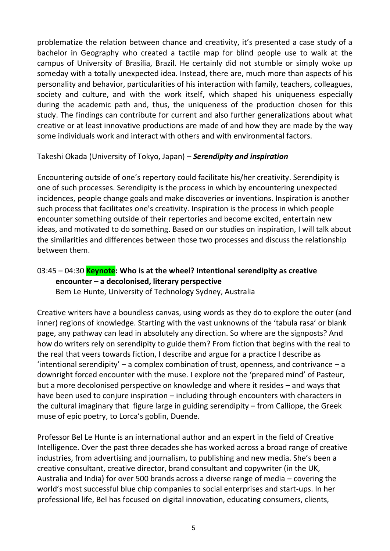problematize the relation between chance and creativity, it's presented a case study of a bachelor in Geography who created a tactile map for blind people use to walk at the campus of University of Brasília, Brazil. He certainly did not stumble or simply woke up someday with a totally unexpected idea. Instead, there are, much more than aspects of his personality and behavior, particularities of his interaction with family, teachers, colleagues, society and culture, and with the work itself, which shaped his uniqueness especially during the academic path and, thus, the uniqueness of the production chosen for this study. The findings can contribute for current and also further generalizations about what creative or at least innovative productions are made of and how they are made by the way some individuals work and interact with others and with environmental factors.

#### Takeshi Okada (University of Tokyo, Japan) – *Serendipity and inspiration*

Encountering outside of one's repertory could facilitate his/her creativity. Serendipity is one of such processes. Serendipity is the process in which by encountering unexpected incidences, people change goals and make discoveries or inventions. Inspiration is another such process that facilitates one's creativity. Inspiration is the process in which people encounter something outside of their repertories and become excited, entertain new ideas, and motivated to do something. Based on our studies on inspiration, I will talk about the similarities and differences between those two processes and discuss the relationship between them.

# 03:45 – 04:30 **Keynote: Who is at the wheel? Intentional serendipity as creative encounter – a decolonised, literary perspective**

Bem Le Hunte, University of Technology Sydney, Australia

Creative writers have a boundless canvas, using words as they do to explore the outer (and inner) regions of knowledge. Starting with the vast unknowns of the 'tabula rasa' or blank page, any pathway can lead in absolutely any direction. So where are the signposts? And how do writers rely on serendipity to guide them? From fiction that begins with the real to the real that veers towards fiction, I describe and argue for a practice I describe as 'intentional serendipity' – a complex combination of trust, openness, and contrivance – a downright forced encounter with the muse. I explore not the 'prepared mind' of Pasteur, but a more decolonised perspective on knowledge and where it resides – and ways that have been used to conjure inspiration – including through encounters with characters in the cultural imaginary that figure large in guiding serendipity – from Calliope, the Greek muse of epic poetry, to Lorca's goblin, Duende.

Professor Bel Le Hunte is an international author and an expert in the field of Creative Intelligence. Over the past three decades she has worked across a broad range of creative industries, from advertising and journalism, to publishing and new media. She's been a creative consultant, creative director, brand consultant and copywriter (in the UK, Australia and India) for over 500 brands across a diverse range of media – covering the world's most successful blue chip companies to social enterprises and start-ups. In her professional life, Bel has focused on digital innovation, educating consumers, clients,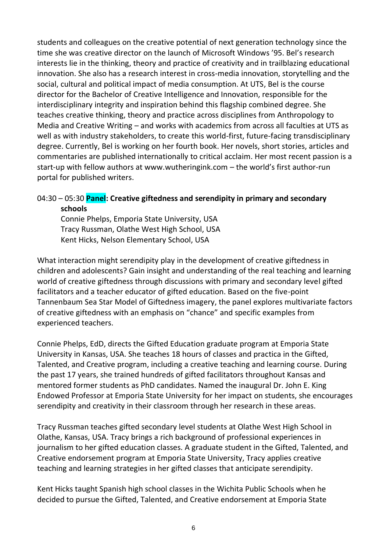students and colleagues on the creative potential of next generation technology since the time she was creative director on the launch of Microsoft Windows '95. Bel's research interests lie in the thinking, theory and practice of creativity and in trailblazing educational innovation. She also has a research interest in cross-media innovation, storytelling and the social, cultural and political impact of media consumption. At UTS, Bel is the course director for the Bachelor of Creative Intelligence and Innovation, responsible for the interdisciplinary integrity and inspiration behind this flagship combined degree. She teaches creative thinking, theory and practice across disciplines from Anthropology to Media and Creative Writing – and works with academics from across all faculties at UTS as well as with industry stakeholders, to create this world-first, future-facing transdisciplinary degree. Currently, Bel is working on her fourth book. Her novels, short stories, articles and commentaries are published internationally to critical acclaim. Her most recent passion is a start-up with fellow authors at www.wutheringink.com – the world's first author-run portal for published writers.

### 04:30 – 05:30 **Panel: Creative giftedness and serendipity in primary and secondary schools**

Connie Phelps, Emporia State University, USA Tracy Russman, Olathe West High School, USA Kent Hicks, Nelson Elementary School, USA

What interaction might serendipity play in the development of creative giftedness in children and adolescents? Gain insight and understanding of the real teaching and learning world of creative giftedness through discussions with primary and secondary level gifted facilitators and a teacher educator of gifted education. Based on the five-point Tannenbaum Sea Star Model of Giftedness imagery, the panel explores multivariate factors of creative giftedness with an emphasis on "chance" and specific examples from experienced teachers.

Connie Phelps, EdD, directs the Gifted Education graduate program at Emporia State University in Kansas, USA. She teaches 18 hours of classes and practica in the Gifted, Talented, and Creative program, including a creative teaching and learning course. During the past 17 years, she trained hundreds of gifted facilitators throughout Kansas and mentored former students as PhD candidates. Named the inaugural Dr. John E. King Endowed Professor at Emporia State University for her impact on students, she encourages serendipity and creativity in their classroom through her research in these areas.

Tracy Russman teaches gifted secondary level students at Olathe West High School in Olathe, Kansas, USA. Tracy brings a rich background of professional experiences in journalism to her gifted education classes. A graduate student in the Gifted, Talented, and Creative endorsement program at Emporia State University, Tracy applies creative teaching and learning strategies in her gifted classes that anticipate serendipity.

Kent Hicks taught Spanish high school classes in the Wichita Public Schools when he decided to pursue the Gifted, Talented, and Creative endorsement at Emporia State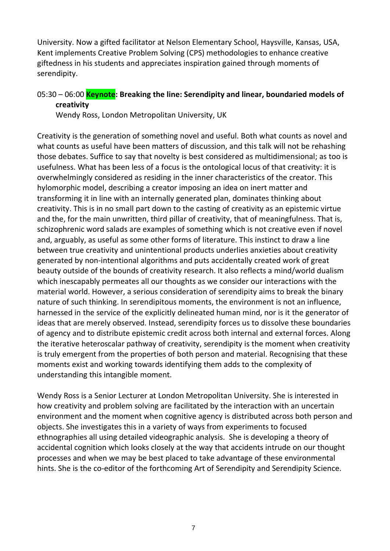University. Now a gifted facilitator at Nelson Elementary School, Haysville, Kansas, USA, Kent implements Creative Problem Solving (CPS) methodologies to enhance creative giftedness in his students and appreciates inspiration gained through moments of serendipity.

## 05:30 – 06:00 **Keynote: Breaking the line: Serendipity and linear, boundaried models of creativity**

Wendy Ross, London Metropolitan University, UK

Creativity is the generation of something novel and useful. Both what counts as novel and what counts as useful have been matters of discussion, and this talk will not be rehashing those debates. Suffice to say that novelty is best considered as multidimensional; as too is usefulness. What has been less of a focus is the ontological locus of that creativity: it is overwhelmingly considered as residing in the inner characteristics of the creator. This hylomorphic model, describing a creator imposing an idea on inert matter and transforming it in line with an internally generated plan, dominates thinking about creativity. This is in no small part down to the casting of creativity as an epistemic virtue and the, for the main unwritten, third pillar of creativity, that of meaningfulness. That is, schizophrenic word salads are examples of something which is not creative even if novel and, arguably, as useful as some other forms of literature. This instinct to draw a line between true creativity and unintentional products underlies anxieties about creativity generated by non-intentional algorithms and puts accidentally created work of great beauty outside of the bounds of creativity research. It also reflects a mind/world dualism which inescapably permeates all our thoughts as we consider our interactions with the material world. However, a serious consideration of serendipity aims to break the binary nature of such thinking. In serendipitous moments, the environment is not an influence, harnessed in the service of the explicitly delineated human mind, nor is it the generator of ideas that are merely observed. Instead, serendipity forces us to dissolve these boundaries of agency and to distribute epistemic credit across both internal and external forces. Along the iterative heteroscalar pathway of creativity, serendipity is the moment when creativity is truly emergent from the properties of both person and material. Recognising that these moments exist and working towards identifying them adds to the complexity of understanding this intangible moment.

Wendy Ross is a Senior Lecturer at London Metropolitan University. She is interested in how creativity and problem solving are facilitated by the interaction with an uncertain environment and the moment when cognitive agency is distributed across both person and objects. She investigates this in a variety of ways from experiments to focused ethnographies all using detailed videographic analysis. She is developing a theory of accidental cognition which looks closely at the way that accidents intrude on our thought processes and when we may be best placed to take advantage of these environmental hints. She is the co-editor of the forthcoming Art of Serendipity and Serendipity Science.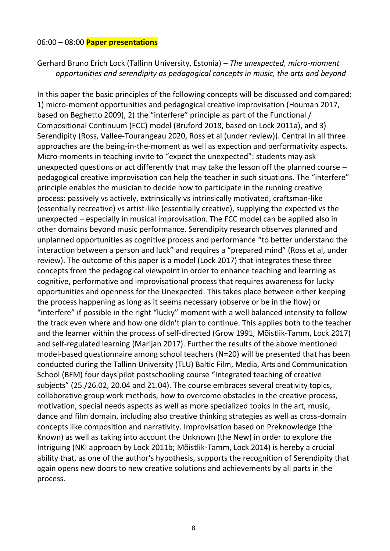#### 06:00 – 08:00 **Paper presentations**

Gerhard Bruno Erich Lock (Tallinn University, Estonia) – *The unexpected, micro-moment opportunities and serendipity as pedagogical concepts in music, the arts and beyond*

In this paper the basic principles of the following concepts will be discussed and compared: 1) micro-moment opportunities and pedagogical creative improvisation (Houman 2017, based on Beghetto 2009), 2) the "interfere" principle as part of the Functional / Compositional Continuum (FCC) model (Bruford 2018, based on Lock 2011a), and 3) Serendipity (Ross, Vallee-Tourangeau 2020, Ross et al (under review)). Central in all three approaches are the being-in-the-moment as well as expection and performativity aspects. Micro-moments in teaching invite to "expect the unexpected": students may ask unexpected questions or act differently that may take the lesson off the planned course – pedagogical creative improvisation can help the teacher in such situations. The "interfere" principle enables the musician to decide how to participate in the running creative process: passively vs actively, extrinsically vs intrinsically motivated, craftsman-like (essentially recreative) vs artist-like (essentially creative), supplying the expected vs the unexpected – especially in musical improvisation. The FCC model can be applied also in other domains beyond music performance. Serendipity research observes planned and unplanned opportunities as cognitive process and performance "to better understand the interaction between a person and luck" and requires a "prepared mind" (Ross et al, under review). The outcome of this paper is a model (Lock 2017) that integrates these three concepts from the pedagogical viewpoint in order to enhance teaching and learning as cognitive, performative and improvisational process that requires awareness for lucky opportunities and openness for the Unexpected. This takes place between either keeping the process happening as long as it seems necessary (observe or be in the flow) or "interfere" if possible in the right "lucky" moment with a well balanced intensity to follow the track even where and how one didn't plan to continue. This applies both to the teacher and the learner within the process of self-directed (Grow 1991, Mõistlik-Tamm, Lock 2017) and self-regulated learning (Marijan 2017). Further the results of the above mentioned model-based questionnaire among school teachers (N=20) will be presented that has been conducted during the Tallinn University (TLU) Baltic Film, Media, Arts and Communication School (BFM) four days pilot postschooling course "Integrated teaching of creative subjects" (25./26.02, 20.04 and 21.04). The course embraces several creativity topics, collaborative group work methods, how to overcome obstacles in the creative process, motivation, special needs aspects as well as more specialized topics in the art, music, dance and film domain, including also creative thinking strategies as well as cross-domain concepts like composition and narrativity. Improvisation based on Preknowledge (the Known) as well as taking into account the Unknown (the New) in order to explore the Intriguing (NKI approach by Lock 2011b; Mõistlik-Tamm, Lock 2014) is hereby a crucial ability that, as one of the author's hypothesis, supports the recognition of Serendipity that again opens new doors to new creative solutions and achievements by all parts in the process.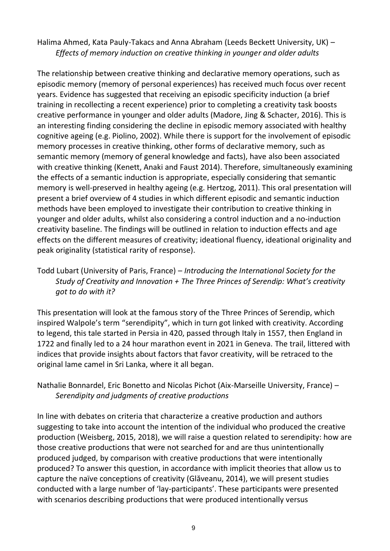Halima Ahmed, Kata Pauly-Takacs and Anna Abraham (Leeds Beckett University, UK) – *Effects of memory induction on creative thinking in younger and older adults* 

The relationship between creative thinking and declarative memory operations, such as episodic memory (memory of personal experiences) has received much focus over recent years. Evidence has suggested that receiving an episodic specificity induction (a brief training in recollecting a recent experience) prior to completing a creativity task boosts creative performance in younger and older adults (Madore, Jing & Schacter, 2016). This is an interesting finding considering the decline in episodic memory associated with healthy cognitive ageing (e.g. Piolino, 2002). While there is support for the involvement of episodic memory processes in creative thinking, other forms of declarative memory, such as semantic memory (memory of general knowledge and facts), have also been associated with creative thinking (Kenett, Anaki and Faust 2014). Therefore, simultaneously examining the effects of a semantic induction is appropriate, especially considering that semantic memory is well-preserved in healthy ageing (e.g. Hertzog, 2011). This oral presentation will present a brief overview of 4 studies in which different episodic and semantic induction methods have been employed to investigate their contribution to creative thinking in younger and older adults, whilst also considering a control induction and a no-induction creativity baseline. The findings will be outlined in relation to induction effects and age effects on the different measures of creativity; ideational fluency, ideational originality and peak originality (statistical rarity of response).

Todd Lubart (University of Paris, France) – *Introducing the International Society for the Study of Creativity and Innovation + The Three Princes of Serendip: What's creativity got to do with it?*

This presentation will look at the famous story of the Three Princes of Serendip, which inspired Walpole's term "serendipity", which in turn got linked with creativity. According to legend, this tale started in Persia in 420, passed through Italy in 1557, then England in 1722 and finally led to a 24 hour marathon event in 2021 in Geneva. The trail, littered with indices that provide insights about factors that favor creativity, will be retraced to the original lame camel in Sri Lanka, where it all began.

Nathalie Bonnardel, Eric Bonetto and Nicolas Pichot (Aix-Marseille University, France) – *Serendipity and judgments of creative productions*

In line with debates on criteria that characterize a creative production and authors suggesting to take into account the intention of the individual who produced the creative production (Weisberg, 2015, 2018), we will raise a question related to serendipity: how are those creative productions that were not searched for and are thus unintentionally produced judged, by comparison with creative productions that were intentionally produced? To answer this question, in accordance with implicit theories that allow us to capture the naïve conceptions of creativity (Glăveanu, 2014), we will present studies conducted with a large number of 'lay-participants'. These participants were presented with scenarios describing productions that were produced intentionally versus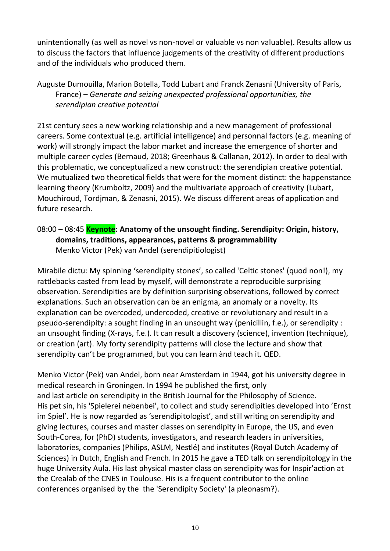unintentionally (as well as novel vs non-novel or valuable vs non valuable). Results allow us to discuss the factors that influence judgements of the creativity of different productions and of the individuals who produced them.

Auguste Dumouilla, Marion Botella, Todd Lubart and Franck Zenasni (University of Paris, France) – *Generate and seizing unexpected professional opportunities, the serendipian creative potential*

21st century sees a new working relationship and a new management of professional careers. Some contextual (e.g. artificial intelligence) and personnal factors (e.g. meaning of work) will strongly impact the labor market and increase the emergence of shorter and multiple career cycles (Bernaud, 2018; Greenhaus & Callanan, 2012). In order to deal with this problematic, we conceptualized a new construct: the serendipian creative potential. We mutualized two theoretical fields that were for the moment distinct: the happenstance learning theory (Krumboltz, 2009) and the multivariate approach of creativity (Lubart, Mouchiroud, Tordjman, & Zenasni, 2015). We discuss different areas of application and future research.

08:00 – 08:45 **Keynote: Anatomy of the unsought finding. Serendipity: Origin, history, domains, traditions, appearances, patterns & programmability** Menko Victor (Pek) van Andel (serendipitiologist)

Mirabile dictu: My spinning 'serendipity stones', so called 'Celtic stones' (quod non!), my rattlebacks casted from lead by myself, will demonstrate a reproducible surprising observation. Serendipities are by definition surprising observations, followed by correct explanations. Such an observation can be an enigma, an anomaly or a novelty. Its explanation can be overcoded, undercoded, creative or revolutionary and result in a pseudo-serendipity: a sought finding in an unsought way (penicillin, f.e.), or serendipity : an unsought finding (X-rays, f.e.). It can result a discovery (science), invention (technique), or creation (art). My forty serendipity patterns will close the lecture and show that serendipity can't be programmed, but you can learn ànd teach it. QED.

Menko Victor (Pek) van Andel, born near Amsterdam in 1944, got his university degree in medical research in Groningen. In 1994 he published the first, only and last article on serendipity in the British Journal for the Philosophy of Science. His pet sin, his 'Spielerei nebenbei', to collect and study serendipities developed into 'Ernst im Spiel'. He is now regarded as 'serendipitologist', and still writing on serendipity and giving lectures, courses and master classes on serendipity in Europe, the US, and even South-Corea, for (PhD) students, investigators, and research leaders in universities, laboratories, companies (Philips, ASLM, Nestlé) and institutes (Royal Dutch Academy of Sciences) in Dutch, English and French. In 2015 he gave a TED talk on serendipitology in the huge University Aula. His last physical master class on serendipity was for Inspir'action at the Crealab of the CNES in Toulouse. His is a frequent contributor to the online conferences organised by the the 'Serendipity Society' (a pleonasm?).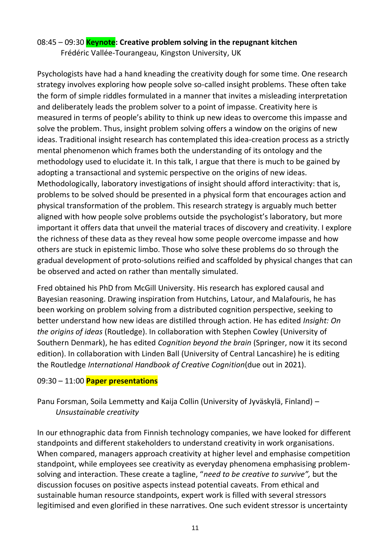# 08:45 – 09:30 **Keynote: Creative problem solving in the repugnant kitchen**

Frédéric Vallée-Tourangeau, Kingston University, UK

Psychologists have had a hand kneading the creativity dough for some time. One research strategy involves exploring how people solve so-called insight problems. These often take the form of simple riddles formulated in a manner that invites a misleading interpretation and deliberately leads the problem solver to a point of impasse. Creativity here is measured in terms of people's ability to think up new ideas to overcome this impasse and solve the problem. Thus, insight problem solving offers a window on the origins of new ideas. Traditional insight research has contemplated this idea-creation process as a strictly mental phenomenon which frames both the understanding of its ontology and the methodology used to elucidate it. In this talk, I argue that there is much to be gained by adopting a transactional and systemic perspective on the origins of new ideas. Methodologically, laboratory investigations of insight should afford interactivity: that is, problems to be solved should be presented in a physical form that encourages action and physical transformation of the problem. This research strategy is arguably much better aligned with how people solve problems outside the psychologist's laboratory, but more important it offers data that unveil the material traces of discovery and creativity. I explore the richness of these data as they reveal how some people overcome impasse and how others are stuck in epistemic limbo. Those who solve these problems do so through the gradual development of proto-solutions reified and scaffolded by physical changes that can be observed and acted on rather than mentally simulated.

Fred obtained his PhD from McGill University. His research has explored causal and Bayesian reasoning. Drawing inspiration from Hutchins, Latour, and Malafouris, he has been working on problem solving from a distributed cognition perspective, seeking to better understand how new ideas are distilled through action. He has edited *Insight: On the origins of ideas* (Routledge). In collaboration with Stephen Cowley (University of Southern Denmark), he has edited *Cognition beyond the brain* (Springer, now it its second edition). In collaboration with Linden Ball (University of Central Lancashire) he is editing the Routledge *International Handbook of Creative Cognition*(due out in 2021).

#### 09:30 – 11:00 **Paper presentations**

Panu Forsman, Soila Lemmetty and Kaija Collin (University of Jyväskylä, Finland) – *Unsustainable creativity*

In our ethnographic data from Finnish technology companies, we have looked for different standpoints and different stakeholders to understand creativity in work organisations. When compared, managers approach creativity at higher level and emphasise competition standpoint, while employees see creativity as everyday phenomena emphasising problemsolving and interaction. These create a tagline, "*need to be creative to survive",* but the discussion focuses on positive aspects instead potential caveats. From ethical and sustainable human resource standpoints, expert work is filled with several stressors legitimised and even glorified in these narratives. One such evident stressor is uncertainty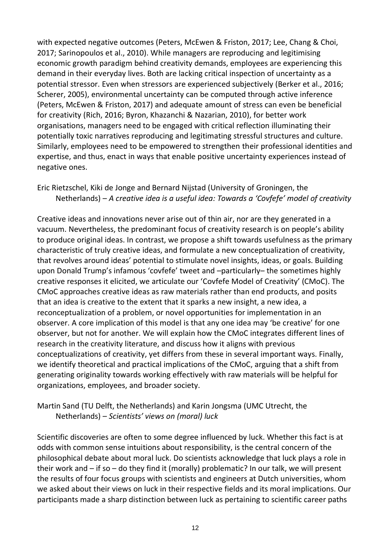with expected negative outcomes (Peters, McEwen & Friston, 2017; Lee, Chang & Choi, 2017; Sarinopoulos et al., 2010). While managers are reproducing and legitimising economic growth paradigm behind creativity demands, employees are experiencing this demand in their everyday lives. Both are lacking critical inspection of uncertainty as a potential stressor. Even when stressors are experienced subjectively (Berker et al., 2016; Scherer, 2005), environmental uncertainty can be computed through active inference (Peters, McEwen & Friston, 2017) and adequate amount of stress can even be beneficial for creativity (Rich, 2016; Byron, Khazanchi & Nazarian, 2010), for better work organisations, managers need to be engaged with critical reflection illuminating their potentially toxic narratives reproducing and legitimating stressful structures and culture. Similarly, employees need to be empowered to strengthen their professional identities and expertise, and thus, enact in ways that enable positive uncertainty experiences instead of negative ones.

Eric Rietzschel, Kiki de Jonge and Bernard Nijstad (University of Groningen, the Netherlands) – *A creative idea is a useful idea: Towards a 'Covfefe' model of creativity*

Creative ideas and innovations never arise out of thin air, nor are they generated in a vacuum. Nevertheless, the predominant focus of creativity research is on people's ability to produce original ideas. In contrast, we propose a shift towards usefulness as the primary characteristic of truly creative ideas, and formulate a new conceptualization of creativity, that revolves around ideas' potential to stimulate novel insights, ideas, or goals. Building upon Donald Trump's infamous 'covfefe' tweet and –particularly– the sometimes highly creative responses it elicited, we articulate our 'Covfefe Model of Creativity' (CMoC). The CMoC approaches creative ideas as raw materials rather than end products, and posits that an idea is creative to the extent that it sparks a new insight, a new idea, a reconceptualization of a problem, or novel opportunities for implementation in an observer. A core implication of this model is that any one idea may 'be creative' for one observer, but not for another. We will explain how the CMoC integrates different lines of research in the creativity literature, and discuss how it aligns with previous conceptualizations of creativity, yet differs from these in several important ways. Finally, we identify theoretical and practical implications of the CMoC, arguing that a shift from generating originality towards working effectively with raw materials will be helpful for organizations, employees, and broader society.

Martin Sand (TU Delft, the Netherlands) and Karin Jongsma (UMC Utrecht, the Netherlands) – *Scientists' views on (moral) luck*

Scientific discoveries are often to some degree influenced by luck. Whether this fact is at odds with common sense intuitions about responsibility, is the central concern of the philosophical debate about moral luck. Do scientists acknowledge that luck plays a role in their work and – if so – do they find it (morally) problematic? In our talk, we will present the results of four focus groups with scientists and engineers at Dutch universities, whom we asked about their views on luck in their respective fields and its moral implications. Our participants made a sharp distinction between luck as pertaining to scientific career paths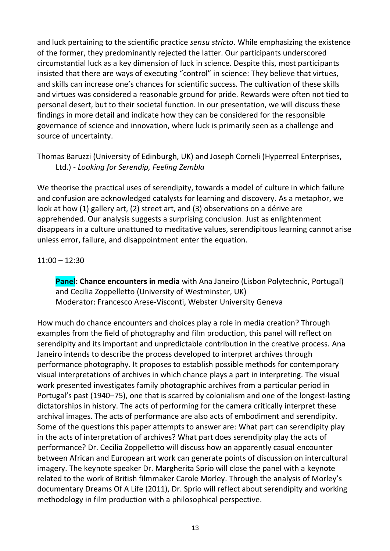and luck pertaining to the scientific practice *sensu stricto*. While emphasizing the existence of the former, they predominantly rejected the latter. Our participants underscored circumstantial luck as a key dimension of luck in science. Despite this, most participants insisted that there are ways of executing "control" in science: They believe that virtues, and skills can increase one's chances for scientific success. The cultivation of these skills and virtues was considered a reasonable ground for pride. Rewards were often not tied to personal desert, but to their societal function. In our presentation, we will discuss these findings in more detail and indicate how they can be considered for the responsible governance of science and innovation, where luck is primarily seen as a challenge and source of uncertainty.

Thomas Baruzzi (University of Edinburgh, UK) and Joseph Corneli (Hyperreal Enterprises, Ltd.) - *Looking for Serendip, Feeling Zembla*

We theorise the practical uses of serendipity, towards a model of culture in which failure and confusion are acknowledged catalysts for learning and discovery. As a metaphor, we look at how (1) gallery art, (2) street art, and (3) observations on a dérive are apprehended. Our analysis suggests a surprising conclusion. Just as enlightenment disappears in a culture unattuned to meditative values, serendipitous learning cannot arise unless error, failure, and disappointment enter the equation.

#### 11:00 – 12:30

**Panel: Chance encounters in media** with Ana Janeiro (Lisbon Polytechnic, Portugal) and Cecilia Zoppelletto (University of Westminster, UK) Moderator: Francesco Arese-Visconti, Webster University Geneva

How much do chance encounters and choices play a role in media creation? Through examples from the field of photography and film production, this panel will reflect on serendipity and its important and unpredictable contribution in the creative process. Ana Janeiro intends to describe the process developed to interpret archives through performance photography. It proposes to establish possible methods for contemporary visual interpretations of archives in which chance plays a part in interpreting. The visual work presented investigates family photographic archives from a particular period in Portugal's past (1940–75), one that is scarred by colonialism and one of the longest-lasting dictatorships in history. The acts of performing for the camera critically interpret these archival images. The acts of performance are also acts of embodiment and serendipity. Some of the questions this paper attempts to answer are: What part can serendipity play in the acts of interpretation of archives? What part does serendipity play the acts of performance? Dr. Cecilia Zoppelletto will discuss how an apparently casual encounter between African and European art work can generate points of discussion on intercultural imagery. The keynote speaker Dr. Margherita Sprio will close the panel with a keynote related to the work of British filmmaker Carole Morley. Through the analysis of Morley's documentary Dreams Of A Life (2011), Dr. Sprio will reflect about serendipity and working methodology in film production with a philosophical perspective.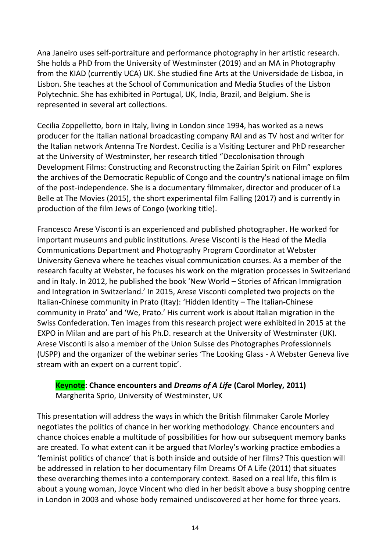Ana Janeiro uses self-portraiture and performance photography in her artistic research. She holds a PhD from the University of Westminster (2019) and an MA in Photography from the KIAD (currently UCA) UK. She studied fine Arts at the Universidade de Lisboa, in Lisbon. She teaches at the School of Communication and Media Studies of the Lisbon Polytechnic. She has exhibited in Portugal, UK, India, Brazil, and Belgium. She is represented in several art collections.

Cecilia Zoppelletto, born in Italy, living in London since 1994, has worked as a news producer for the Italian national broadcasting company RAI and as TV host and writer for the Italian network Antenna Tre Nordest. Cecilia is a Visiting Lecturer and PhD researcher at the University of Westminster, her research titled "Decolonisation through Development Films: Constructing and Reconstructing the Zairian Spirit on Film" explores the archives of the Democratic Republic of Congo and the country's national image on film of the post-independence. She is a documentary filmmaker, director and producer of La Belle at The Movies (2015), the short experimental film Falling (2017) and is currently in production of the film Jews of Congo (working title).

Francesco Arese Visconti is an experienced and published photographer. He worked for important museums and public institutions. Arese Visconti is the Head of the Media Communications Department and Photography Program Coordinator at Webster University Geneva where he teaches visual communication courses. As a member of the research faculty at Webster, he focuses his work on the migration processes in Switzerland and in Italy. In 2012, he published the book 'New World – Stories of African Immigration and Integration in Switzerland.' In 2015, Arese Visconti completed two projects on the Italian-Chinese community in Prato (Itay): 'Hidden Identity – The Italian-Chinese community in Prato' and 'We, Prato.' His current work is about Italian migration in the Swiss Confederation. Ten images from this research project were exhibited in 2015 at the EXPO in Milan and are part of his Ph.D. research at the University of Westminster (UK). Arese Visconti is also a member of the Union Suisse des Photographes Professionnels (USPP) and the organizer of the webinar series 'The Looking Glass - A Webster Geneva live stream with an expert on a current topic'.

**Keynote: Chance encounters and** *Dreams of A Life* **(Carol Morley, 2011)** Margherita Sprio, University of Westminster, UK

This presentation will address the ways in which the British filmmaker Carole Morley negotiates the politics of chance in her working methodology. Chance encounters and chance choices enable a multitude of possibilities for how our subsequent memory banks are created. To what extent can it be argued that Morley's working practice embodies a 'feminist politics of chance' that is both inside and outside of her films? This question will be addressed in relation to her documentary film Dreams Of A Life (2011) that situates these overarching themes into a contemporary context. Based on a real life, this film is about a young woman, Joyce Vincent who died in her bedsit above a busy shopping centre in London in 2003 and whose body remained undiscovered at her home for three years.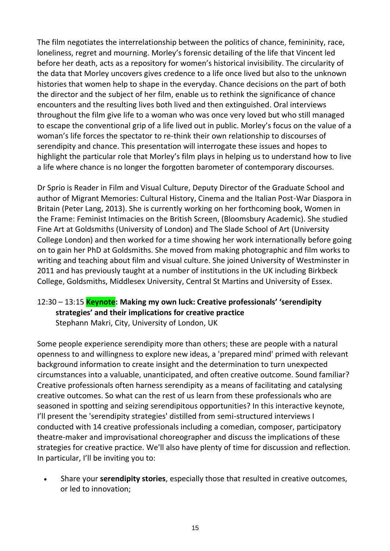The film negotiates the interrelationship between the politics of chance, femininity, race, loneliness, regret and mourning. Morley's forensic detailing of the life that Vincent led before her death, acts as a repository for women's historical invisibility. The circularity of the data that Morley uncovers gives credence to a life once lived but also to the unknown histories that women help to shape in the everyday. Chance decisions on the part of both the director and the subject of her film, enable us to rethink the significance of chance encounters and the resulting lives both lived and then extinguished. Oral interviews throughout the film give life to a woman who was once very loved but who still managed to escape the conventional grip of a life lived out in public. Morley's focus on the value of a woman's life forces the spectator to re-think their own relationship to discourses of serendipity and chance. This presentation will interrogate these issues and hopes to highlight the particular role that Morley's film plays in helping us to understand how to live a life where chance is no longer the forgotten barometer of contemporary discourses.

Dr Sprio is Reader in Film and Visual Culture, Deputy Director of the Graduate School and author of Migrant Memories: Cultural History, Cinema and the Italian Post-War Diaspora in Britain (Peter Lang, 2013). She is currently working on her forthcoming book, Women in the Frame: Feminist Intimacies on the British Screen, (Bloomsbury Academic). She studied Fine Art at Goldsmiths (University of London) and The Slade School of Art (University College London) and then worked for a time showing her work internationally before going on to gain her PhD at Goldsmiths. She moved from making photographic and film works to writing and teaching about film and visual culture. She joined University of Westminster in 2011 and has previously taught at a number of institutions in the UK including Birkbeck College, Goldsmiths, Middlesex University, Central St Martins and University of Essex.

# 12:30 – 13:15 **Keynote: Making my own luck: Creative professionals' 'serendipity strategies' and their implications for creative practice**

Stephann Makri, City, University of London, UK

Some people experience serendipity more than others; these are people with a natural openness to and willingness to explore new ideas, a 'prepared mind' primed with relevant background information to create insight and the determination to turn unexpected circumstances into a valuable, unanticipated, and often creative outcome. Sound familiar? Creative professionals often harness serendipity as a means of facilitating and catalysing creative outcomes. So what can the rest of us learn from these professionals who are seasoned in spotting and seizing serendipitous opportunities? In this interactive keynote, I'll present the 'serendipity strategies' distilled from semi-structured interviews I conducted with 14 creative professionals including a comedian, composer, participatory theatre-maker and improvisational choreographer and discuss the implications of these strategies for creative practice. We'll also have plenty of time for discussion and reflection. In particular, I'll be inviting you to:

• Share your **serendipity stories**, especially those that resulted in creative outcomes, or led to innovation;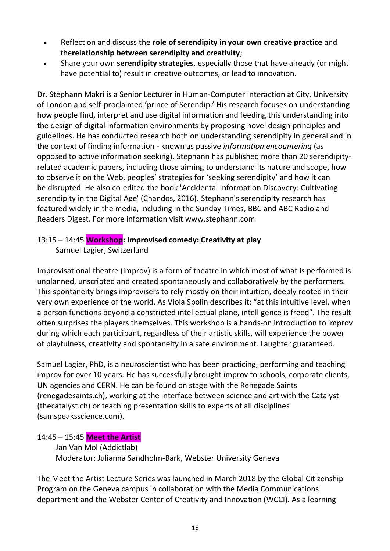- Reflect on and discuss the **role of serendipity in your own creative practice** and the**relationship between serendipity and creativity**;
- Share your own **serendipity strategies**, especially those that have already (or might have potential to) result in creative outcomes, or lead to innovation.

Dr. Stephann Makri is a Senior Lecturer in Human-Computer Interaction at City, University of London and self-proclaimed 'prince of Serendip.' His research focuses on understanding how people find, interpret and use digital information and feeding this understanding into the design of digital information environments by proposing novel design principles and guidelines. He has conducted research both on understanding serendipity in general and in the context of finding information - known as passive *information encountering* (as opposed to active information seeking). Stephann has published more than 20 serendipityrelated academic papers, including those aiming to understand its nature and scope, how to observe it on the Web, peoples' strategies for 'seeking serendipity' and how it can be disrupted. He also co-edited the book 'Accidental Information Discovery: Cultivating serendipity in the Digital Age' (Chandos, 2016). Stephann's serendipity research has featured widely in the media, including in the Sunday Times, BBC and ABC Radio and Readers Digest. For more information visit [www.stephann.com](http://www.stephann.com/)

## 13:15 – 14:45 **Workshop: Improvised comedy: Creativity at play**

Samuel Lagier, Switzerland

Improvisational theatre (improv) is a form of theatre in which most of what is performed is unplanned, unscripted and created spontaneously and collaboratively by the performers. This spontaneity brings improvisers to rely mostly on their intuition, deeply rooted in their very own experience of the world. As Viola Spolin describes it: "at this intuitive level, when a person functions beyond a constricted intellectual plane, intelligence is freed". The result often surprises the players themselves. This workshop is a hands-on introduction to improv during which each participant, regardless of their artistic skills, will experience the power of playfulness, creativity and spontaneity in a safe environment. Laughter guaranteed.

Samuel Lagier, PhD, is a neuroscientist who has been practicing, performing and teaching improv for over 10 years. He has successfully brought improv to schools, corporate clients, UN agencies and CERN. He can be found on stage with the Renegade Saints (renegadesaints.ch), working at the interface between science and art with the Catalyst (thecatalyst.ch) or teaching presentation skills to experts of all disciplines (samspeaksscience.com).

## 14:45 – 15:45 **Meet the Artist**

Jan Van Mol (Addictlab) Moderator: Julianna Sandholm-Bark, Webster University Geneva

The Meet the Artist Lecture Series was launched in March 2018 by the Global Citizenship Program on the Geneva campus in collaboration with the Media Communications department and the Webster Center of Creativity and Innovation (WCCI). As a learning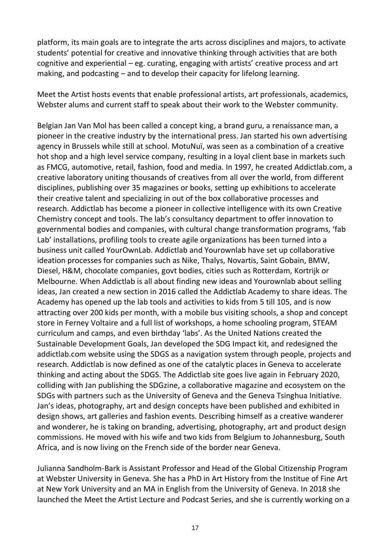platform, its main goals are to integrate the arts across disciplines and majors, to activate students' potential for creative and innovative thinking through activities that are both cognitive and experiential – eg. curating, engaging with artists' creative process and art making, and podcasting – and to develop their capacity for lifelong learning.

Meet the Artist hosts events that enable professional artists, art professionals, academics, Webster alums and current staff to speak about their work to the Webster community.

Belgian Jan Van Mol has been called a concept king, a brand guru, a renaissance man, a pioneer in the creative industry by the international press. Jan started his own advertising agency in Brussels while still at school. MotuNuï, was seen as a combination of a creative hot shop and a high level service company, resulting in a loyal client base in markets such as FMCG, automotive, retail, fashion, food and media. In 1997, he created Addictlab.com, a creative laboratory uniting thousands of creatives from all over the world, from different disciplines, publishing over 35 magazines or books, setting up exhibitions to accelerate their creative talent and specializing in out of the box collaborative processes and research. Addictlab has become a pioneer in collective intelligence with its own Creative Chemistry concept and tools. The lab's consultancy department to offer innovation to governmental bodies and companies, with cultural change transformation programs, 'fab Lab' installations, profiling tools to create agile organizations has been turned into a business unit called YourOwnLab. Addictlab and Yourownlab have set up collaborative ideation processes for companies such as Nike, Thalys, Novartis, Saint Gobain, BMW, Diesel, H&M, chocolate companies, govt bodies, cities such as Rotterdam, Kortrijk or Melbourne. When Addictlab is all about finding new ideas and Yourownlab about selling ideas, Jan created a new section in 2016 called the Addictlab Academy to share ideas. The Academy has opened up the lab tools and activities to kids from 5 till 105, and is now attracting over 200 kids per month, with a mobile bus visiting schools, a shop and concept store in Ferney Voltaire and a full list of workshops, a home schooling program, STEAM curriculum and camps, and even birthday 'labs'. As the United Nations created the Sustainable Development Goals, Jan developed the SDG Impact kit, and redesigned the addictlab.com website using the SDGS as a navigation system through people, projects and research. Addictlab is now defined as one of the catalytic places in Geneva to accelerate thinking and acting about the SDGS. The Addictlab site goes live again in February 2020, colliding with Jan publishing the SDGzine, a collaborative magazine and ecosystem on the SDGs with partners such as the University of Geneva and the Geneva Tsinghua Initiative. Jan's ideas, photography, art and design concepts have been published and exhibited in design shows, art galleries and fashion events. Describing himself as a creative wanderer and wonderer, he is taking on branding, advertising, photography, art and product design commissions. He moved with his wife and two kids from Belgium to Johannesburg, South Africa, and is now living on the French side of the border near Geneva.

Julianna Sandholm-Bark is Assistant Professor and Head of the Global Citizenship Program at Webster University in Geneva. She has a PhD in Art History from the Institue of Fine Art at New York University and an MA in English from the University of Geneva. In 2018 she launched the Meet the Artist Lecture and Podcast Series, and she is currently working on a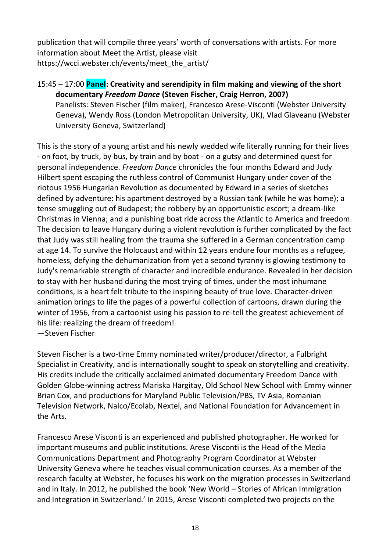publication that will compile three years' worth of conversations with artists. For more information about Meet the Artist, please visit https://wcci.webster.ch/events/meet\_the\_artist/

15:45 – 17:00 **Panel: Creativity and serendipity in film making and viewing of the short documentary** *Freedom Dance* **(Steven Fischer, Craig Herron, 2007)** Panelists: Steven Fischer (film maker), Francesco Arese-Visconti (Webster University Geneva), Wendy Ross (London Metropolitan University, UK), Vlad Glaveanu (Webster University Geneva, Switzerland)

This is the story of a young artist and his newly wedded wife literally running for their lives - on foot, by truck, by bus, by train and by boat - on a gutsy and determined quest for personal independence. *Freedom Dance* chronicles the four months Edward and Judy Hilbert spent escaping the ruthless control of Communist Hungary under cover of the riotous 1956 Hungarian Revolution as documented by Edward in a series of sketches defined by adventure: his apartment destroyed by a Russian tank (while he was home); a tense smuggling out of Budapest; the robbery by an opportunistic escort; a dream-like Christmas in Vienna; and a punishing boat ride across the Atlantic to America and freedom. The decision to leave Hungary during a violent revolution is further complicated by the fact that Judy was still healing from the trauma she suffered in a German concentration camp at age 14. To survive the Holocaust and within 12 years endure four months as a refugee, homeless, defying the dehumanization from yet a second tyranny is glowing testimony to Judy's remarkable strength of character and incredible endurance. Revealed in her decision to stay with her husband during the most trying of times, under the most inhumane conditions, is a heart felt tribute to the inspiring beauty of true love. Character-driven animation brings to life the pages of a powerful collection of cartoons, drawn during the winter of 1956, from a cartoonist using his passion to re-tell the greatest achievement of his life: realizing the dream of freedom! —Steven Fischer

Steven Fischer is a two-time Emmy nominated writer/producer/director, a Fulbright Specialist in Creativity, and is internationally sought to speak on storytelling and creativity. His credits include the critically acclaimed animated documentary Freedom Dance with Golden Globe-winning actress Mariska Hargitay, Old School New School with Emmy winner Brian Cox, and productions for Maryland Public Television/PBS, TV Asia, Romanian Television Network, Nalco/Ecolab, Nextel, and National Foundation for Advancement in the Arts.

Francesco Arese Visconti is an experienced and published photographer. He worked for important museums and public institutions. Arese Visconti is the Head of the Media Communications Department and Photography Program Coordinator at Webster University Geneva where he teaches visual communication courses. As a member of the research faculty at Webster, he focuses his work on the migration processes in Switzerland and in Italy. In 2012, he published the book 'New World – Stories of African Immigration and Integration in Switzerland.' In 2015, Arese Visconti completed two projects on the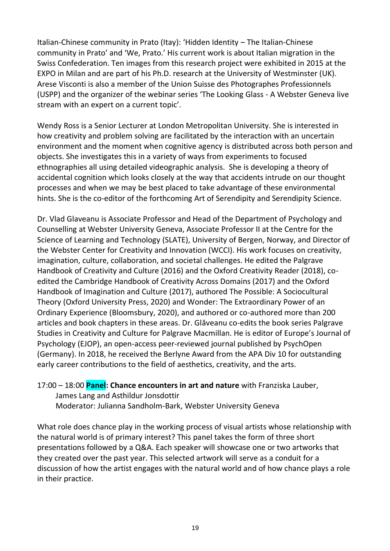Italian-Chinese community in Prato (Itay): 'Hidden Identity – The Italian-Chinese community in Prato' and 'We, Prato.' His current work is about Italian migration in the Swiss Confederation. Ten images from this research project were exhibited in 2015 at the EXPO in Milan and are part of his Ph.D. research at the University of Westminster (UK). Arese Visconti is also a member of the Union Suisse des Photographes Professionnels (USPP) and the organizer of the webinar series 'The Looking Glass - A Webster Geneva live stream with an expert on a current topic'.

Wendy Ross is a Senior Lecturer at London Metropolitan University. She is interested in how creativity and problem solving are facilitated by the interaction with an uncertain environment and the moment when cognitive agency is distributed across both person and objects. She investigates this in a variety of ways from experiments to focused ethnographies all using detailed videographic analysis. She is developing a theory of accidental cognition which looks closely at the way that accidents intrude on our thought processes and when we may be best placed to take advantage of these environmental hints. She is the co-editor of the forthcoming Art of Serendipity and Serendipity Science.

Dr. Vlad Glaveanu is Associate Professor and Head of the Department of Psychology and Counselling at Webster University Geneva, Associate Professor II at the Centre for the Science of Learning and Technology (SLATE), University of Bergen, Norway, and Director of the Webster Center for Creativity and Innovation (WCCI). His work focuses on creativity, imagination, culture, collaboration, and societal challenges. He edited the Palgrave Handbook of Creativity and Culture (2016) and the Oxford Creativity Reader (2018), coedited the Cambridge Handbook of Creativity Across Domains (2017) and the Oxford Handbook of Imagination and Culture (2017), authored The Possible: A Sociocultural Theory (Oxford University Press, 2020) and Wonder: The Extraordinary Power of an Ordinary Experience (Bloomsbury, 2020), and authored or co-authored more than 200 articles and book chapters in these areas. Dr. Glăveanu co-edits the book series Palgrave Studies in Creativity and Culture for Palgrave Macmillan. He is editor of Europe's Journal of Psychology (EJOP), an open-access peer-reviewed journal published by PsychOpen (Germany). In 2018, he received the Berlyne Award from the APA Div 10 for outstanding early career contributions to the field of aesthetics, creativity, and the arts.

17:00 – 18:00 **Panel: Chance encounters in art and nature** with Franziska Lauber, James Lang and Asthildur Jonsdottir Moderator: Julianna Sandholm-Bark, Webster University Geneva

What role does chance play in the working process of visual artists whose relationship with the natural world is of primary interest? This panel takes the form of three short presentations followed by a Q&A. Each speaker will showcase one or two artworks that they created over the past year. This selected artwork will serve as a conduit for a discussion of how the artist engages with the natural world and of how chance plays a role in their practice.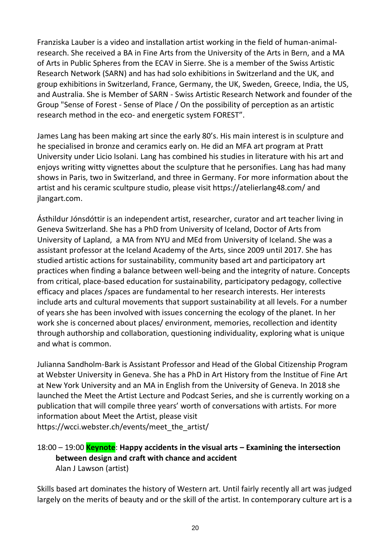Franziska Lauber is a video and installation artist working in the field of human-animalresearch. She received a BA in Fine Arts from the University of the Arts in Bern, and a MA of Arts in Public Spheres from the ECAV in Sierre. She is a member of the Swiss Artistic Research Network (SARN) and has had solo exhibitions in Switzerland and the UK, and group exhibitions in Switzerland, France, Germany, the UK, Sweden, Greece, India, the US, and Australia. She is Member of SARN - Swiss Artistic Research Network and founder of the Group "Sense of Forest - Sense of Place / On the possibility of perception as an artistic research method in the eco- and energetic system FOREST".

James Lang has been making art since the early 80's. His main interest is in sculpture and he specialised in bronze and ceramics early on. He did an MFA art program at Pratt University under Licio Isolani. Lang has combined his studies in literature with his art and enjoys writing witty vignettes about the sculpture that he personifies. Lang has had many shows in Paris, two in Switzerland, and three in Germany. For more information about the artist and his ceramic scultpure studio, please visit https://atelierlang48.com/ and jlangart.com.

Ásthildur Jónsdóttir is an independent artist, researcher, curator and art teacher living in Geneva Switzerland. She has a PhD from University of Iceland, Doctor of Arts from University of Lapland, a MA from NYU and MEd from University of Iceland. She was a assistant professor at the Iceland Academy of the Arts, since 2009 until 2017. She has studied artistic actions for sustainability, community based art and participatory art practices when finding a balance between well-being and the integrity of nature. Concepts from critical, place-based education for sustainability, participatory pedagogy, collective efficacy and places /spaces are fundamental to her research interests. Her interests include arts and cultural movements that support sustainability at all levels. For a number of years she has been involved with issues concerning the ecology of the planet. In her work she is concerned about places/ environment, memories, recollection and identity through authorship and collaboration, questioning individuality, exploring what is unique and what is common.

Julianna Sandholm-Bark is Assistant Professor and Head of the Global Citizenship Program at Webster University in Geneva. She has a PhD in Art History from the Institue of Fine Art at New York University and an MA in English from the University of Geneva. In 2018 she launched the Meet the Artist Lecture and Podcast Series, and she is currently working on a publication that will compile three years' worth of conversations with artists. For more information about Meet the Artist, please visit https://wcci.webster.ch/events/meet\_the\_artist/

18:00 – 19:00 **Keynote**: **Happy accidents in the visual arts – Examining the intersection between design and craft with chance and accident** Alan J Lawson (artist)

Skills based art dominates the history of Western art. Until fairly recently all art was judged largely on the merits of beauty and or the skill of the artist. In contemporary culture art is a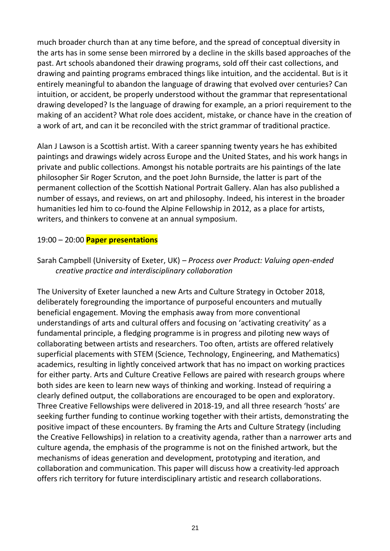much broader church than at any time before, and the spread of conceptual diversity in the arts has in some sense been mirrored by a decline in the skills based approaches of the past. Art schools abandoned their drawing programs, sold off their cast collections, and drawing and painting programs embraced things like intuition, and the accidental. But is it entirely meaningful to abandon the language of drawing that evolved over centuries? Can intuition, or accident, be properly understood without the grammar that representational drawing developed? Is the language of drawing for example, an a priori requirement to the making of an accident? What role does accident, mistake, or chance have in the creation of a work of art, and can it be reconciled with the strict grammar of traditional practice.

Alan J Lawson is a Scottish artist. With a career spanning twenty years he has exhibited paintings and drawings widely across Europe and the United States, and his work hangs in private and public collections. Amongst his notable portraits are his paintings of the late philosopher Sir Roger Scruton, and the poet John Burnside, the latter is part of the permanent collection of the Scottish National Portrait Gallery. Alan has also published a number of essays, and reviews, on art and philosophy. Indeed, his interest in the broader humanities led him to co-found the Alpine Fellowship in 2012, as a place for artists, writers, and thinkers to convene at an annual symposium.

#### 19:00 – 20:00 **Paper presentations**

## Sarah Campbell (University of Exeter, UK) – *Process over Product: Valuing open-ended creative practice and interdisciplinary collaboration*

The University of Exeter launched a new Arts and Culture Strategy in October 2018, deliberately foregrounding the importance of purposeful encounters and mutually beneficial engagement. Moving the emphasis away from more conventional understandings of arts and cultural offers and focusing on 'activating creativity' as a fundamental principle, a fledging programme is in progress and piloting new ways of collaborating between artists and researchers. Too often, artists are offered relatively superficial placements with STEM (Science, Technology, Engineering, and Mathematics) academics, resulting in lightly conceived artwork that has no impact on working practices for either party. Arts and Culture Creative Fellows are paired with research groups where both sides are keen to learn new ways of thinking and working. Instead of requiring a clearly defined output, the collaborations are encouraged to be open and exploratory. Three Creative Fellowships were delivered in 2018-19, and all three research 'hosts' are seeking further funding to continue working together with their artists, demonstrating the positive impact of these encounters. By framing the Arts and Culture Strategy (including the Creative Fellowships) in relation to a creativity agenda, rather than a narrower arts and culture agenda, the emphasis of the programme is not on the finished artwork, but the mechanisms of ideas generation and development, prototyping and iteration, and collaboration and communication. This paper will discuss how a creativity-led approach offers rich territory for future interdisciplinary artistic and research collaborations.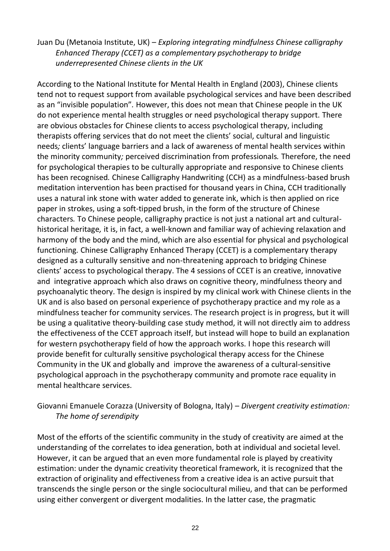### Juan Du (Metanoia Institute, UK) – *Exploring integrating mindfulness Chinese calligraphy Enhanced Therapy (CCET) as a complementary psychotherapy to bridge underrepresented Chinese clients in the UK*

According to the National Institute for Mental Health in England (2003), Chinese clients tend not to request support from available psychological services and have been described as an "invisible population"*.* However, this does not mean that Chinese people in the UK do not experience mental health struggles or need psychological therapy support. There are obvious obstacles for Chinese clients to access psychological therapy, including therapists offering services that do not meet the clients' social, cultural and linguistic needs*;* clients' language barriers and a lack of awareness of mental health services within the minority community*;* perceived discrimination from professionals*.* Therefore, the need for psychological therapies to be culturally appropriate and responsive to Chinese clients has been recognised*.* Chinese Calligraphy Handwriting (CCH) as a mindfulness-based brush meditation intervention has been practised for thousand years in China, CCH traditionally uses a natural ink stone with water added to generate ink, which is then applied on rice paper in strokes, using a soft-tipped brush, in the form of the structure of Chinese characters*.* To Chinese people, calligraphy practice is not just a national art and culturalhistorical heritage*,* it is, in fact, a well-known and familiar way of achieving relaxation and harmony of the body and the mind, which are also essential for physical and psychological functioning*.* Chinese Calligraphy Enhanced Therapy (CCET) is a complementary therapy designed as a culturally sensitive and non-threatening approach to bridging Chinese clients' access to psychological therapy. The 4 sessions of CCET is an creative, innovative and integrative approach which also draws on cognitive theory, mindfulness theory and psychoanalytic theory. The design is inspired by my clinical work with Chinese clients in the UK and is also based on personal experience of psychotherapy practice and my role as a mindfulness teacher for community services. The research project is in progress, but it will be using a qualitative theory-building case study method, it will not directly aim to address the effectiveness of the CCET approach itself, but instead will hope to build an explanation for western psychotherapy field of how the approach works. I hope this research will provide benefit for culturally sensitive psychological therapy access for the Chinese Community in the UK and globally and improve the awareness of a cultural-sensitive psychological approach in the psychotherapy community and promote race equality in mental healthcare services.

## Giovanni Emanuele Corazza (University of Bologna, Italy) – *Divergent creativity estimation: The home of serendipity*

Most of the efforts of the scientific community in the study of creativity are aimed at the understanding of the correlates to idea generation, both at individual and societal level. However, it can be argued that an even more fundamental role is played by creativity estimation: under the dynamic creativity theoretical framework, it is recognized that the extraction of originality and effectiveness from a creative idea is an active pursuit that transcends the single person or the single sociocultural milieu, and that can be performed using either convergent or divergent modalities. In the latter case, the pragmatic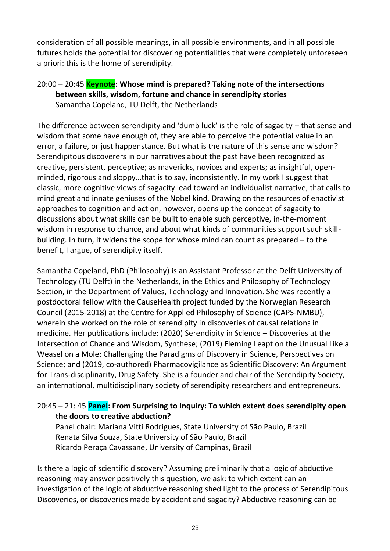consideration of all possible meanings, in all possible environments, and in all possible futures holds the potential for discovering potentialities that were completely unforeseen a priori: this is the home of serendipity.

20:00 – 20:45 **Keynote: Whose mind is prepared? Taking note of the intersections between skills, wisdom, fortune and chance in serendipity stories** Samantha Copeland, TU Delft, the Netherlands

The difference between serendipity and 'dumb luck' is the role of sagacity – that sense and wisdom that some have enough of, they are able to perceive the potential value in an error, a failure, or just happenstance. But what is the nature of this sense and wisdom? Serendipitous discoverers in our narratives about the past have been recognized as creative, persistent, perceptive; as mavericks, novices and experts; as insightful, openminded, rigorous and sloppy…that is to say, inconsistently. In my work I suggest that classic, more cognitive views of sagacity lead toward an individualist narrative, that calls to mind great and innate geniuses of the Nobel kind. Drawing on the resources of enactivist approaches to cognition and action, however, opens up the concept of sagacity to discussions about what skills can be built to enable such perceptive, in-the-moment wisdom in response to chance, and about what kinds of communities support such skillbuilding. In turn, it widens the scope for whose mind can count as prepared – to the benefit, I argue, of serendipity itself.

Samantha Copeland, PhD (Philosophy) is an Assistant Professor at the Delft University of Technology (TU Delft) in the Netherlands, in the Ethics and Philosophy of Technology Section, in the Department of Values, Technology and Innovation. She was recently a postdoctoral fellow with the CauseHealth project funded by the Norwegian Research Council (2015-2018) at the Centre for Applied Philosophy of Science (CAPS-NMBU), wherein she worked on the role of serendipity in discoveries of causal relations in medicine. Her publications include: (2020) Serendipity in Science – Discoveries at the Intersection of Chance and Wisdom, Synthese; (2019) Fleming Leapt on the Unusual Like a Weasel on a Mole: Challenging the Paradigms of Discovery in Science, Perspectives on Science; and (2019, co-authored) Pharmacovigilance as Scientific Discovery: An Argument for Trans-disciplinarity, Drug Safety. She is a founder and chair of the Serendipity Society, an international, multidisciplinary society of serendipity researchers and entrepreneurs.

## 20:45 – 21: 45 **Panel: From Surprising to Inquiry: To which extent does serendipity open the doors to creative abduction?**

Panel chair: Mariana Vitti Rodrigues, State University of São Paulo, Brazil Renata Silva Souza, State University of São Paulo, Brazil Ricardo Peraça Cavassane, University of Campinas, Brazil

Is there a logic of scientific discovery? Assuming preliminarily that a logic of abductive reasoning may answer positively this question, we ask: to which extent can an investigation of the logic of abductive reasoning shed light to the process of Serendipitous Discoveries, or discoveries made by accident and sagacity? Abductive reasoning can be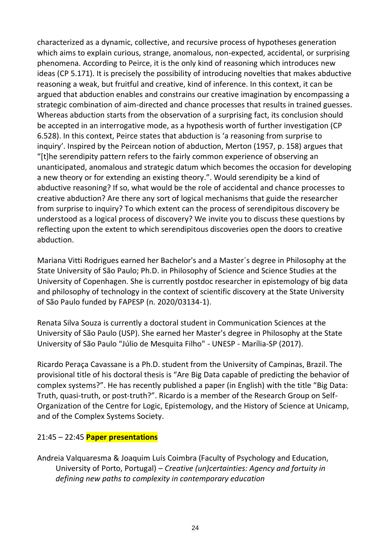characterized as a dynamic, collective, and recursive process of hypotheses generation which aims to explain curious, strange, anomalous, non-expected, accidental, or surprising phenomena. According to Peirce, it is the only kind of reasoning which introduces new ideas (CP 5.171). It is precisely the possibility of introducing novelties that makes abductive reasoning a weak, but fruitful and creative, kind of inference. In this context, it can be argued that abduction enables and constrains our creative imagination by encompassing a strategic combination of aim-directed and chance processes that results in trained guesses. Whereas abduction starts from the observation of a surprising fact, its conclusion should be accepted in an interrogative mode, as a hypothesis worth of further investigation (CP 6.528). In this context, Peirce states that abduction is 'a reasoning from surprise to inquiry'. Inspired by the Peircean notion of abduction, Merton (1957, p. 158) argues that "[t]he serendipity pattern refers to the fairly common experience of observing an unanticipated, anomalous and strategic datum which becomes the occasion for developing a new theory or for extending an existing theory.". Would serendipity be a kind of abductive reasoning? If so, what would be the role of accidental and chance processes to creative abduction? Are there any sort of logical mechanisms that guide the researcher from surprise to inquiry? To which extent can the process of serendipitous discovery be understood as a logical process of discovery? We invite you to discuss these questions by reflecting upon the extent to which serendipitous discoveries open the doors to creative abduction.

Mariana Vitti Rodrigues earned her Bachelor's and a Master´s degree in Philosophy at the State University of São Paulo; Ph.D. in Philosophy of Science and Science Studies at the University of Copenhagen. She is currently postdoc researcher in epistemology of big data and philosophy of technology in the context of scientific discovery at the State University of São Paulo funded by FAPESP (n. 2020/03134-1).

Renata Silva Souza is currently a doctoral student in Communication Sciences at the University of São Paulo (USP). She earned her Master's degree in Philosophy at the State University of São Paulo "Júlio de Mesquita Filho" - UNESP - Marília-SP (2017).

Ricardo Peraça Cavassane is a Ph.D. student from the University of Campinas, Brazil. The provisional title of his doctoral thesis is "Are Big Data capable of predicting the behavior of complex systems?". He has recently published a paper (in English) with the title "Big Data: Truth, quasi-truth, or post-truth?". Ricardo is a member of the Research Group on Self-Organization of the Centre for Logic, Epistemology, and the History of Science at Unicamp, and of the Complex Systems Society.

## 21:45 – 22:45 **Paper presentations**

Andreia Valquaresma & Joaquim Luís Coimbra (Faculty of Psychology and Education, University of Porto, Portugal) – *Creative (un)certainties: Agency and fortuity in defining new paths to complexity in contemporary education*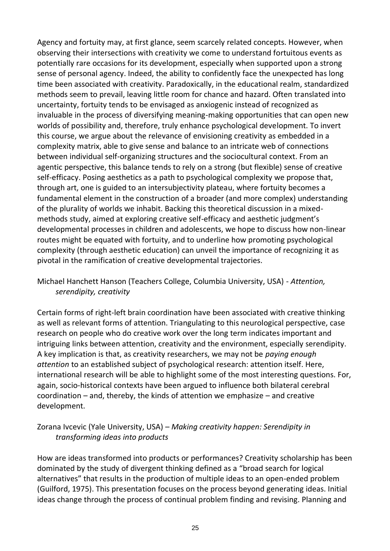Agency and fortuity may, at first glance, seem scarcely related concepts. However, when observing their intersections with creativity we come to understand fortuitous events as potentially rare occasions for its development, especially when supported upon a strong sense of personal agency. Indeed, the ability to confidently face the unexpected has long time been associated with creativity. Paradoxically, in the educational realm, standardized methods seem to prevail, leaving little room for chance and hazard. Often translated into uncertainty, fortuity tends to be envisaged as anxiogenic instead of recognized as invaluable in the process of diversifying meaning-making opportunities that can open new worlds of possibility and, therefore, truly enhance psychological development. To invert this course, we argue about the relevance of envisioning creativity as embedded in a complexity matrix, able to give sense and balance to an intricate web of connections between individual self-organizing structures and the sociocultural context. From an agentic perspective, this balance tends to rely on a strong (but flexible) sense of creative self-efficacy. Posing aesthetics as a path to psychological complexity we propose that, through art, one is guided to an intersubjectivity plateau, where fortuity becomes a fundamental element in the construction of a broader (and more complex) understanding of the plurality of worlds we inhabit. Backing this theoretical discussion in a mixedmethods study, aimed at exploring creative self-efficacy and aesthetic judgment's developmental processes in children and adolescents, we hope to discuss how non-linear routes might be equated with fortuity, and to underline how promoting psychological complexity (through aesthetic education) can unveil the importance of recognizing it as pivotal in the ramification of creative developmental trajectories.

## Michael Hanchett Hanson (Teachers College, Columbia University, USA) - *Attention, serendipity, creativity*

Certain forms of right-left brain coordination have been associated with creative thinking as well as relevant forms of attention. Triangulating to this neurological perspective, case research on people who do creative work over the long term indicates important and intriguing links between attention, creativity and the environment, especially serendipity. A key implication is that, as creativity researchers, we may not be *paying enough attention* to an established subject of psychological research: attention itself. Here, international research will be able to highlight some of the most interesting questions. For, again, socio-historical contexts have been argued to influence both bilateral cerebral coordination – and, thereby, the kinds of attention we emphasize – and creative development.

## Zorana Ivcevic (Yale University, USA) – *Making creativity happen: Serendipity in transforming ideas into products*

How are ideas transformed into products or performances? Creativity scholarship has been dominated by the study of divergent thinking defined as a "broad search for logical alternatives" that results in the production of multiple ideas to an open-ended problem (Guilford, 1975). This presentation focuses on the process beyond generating ideas. Initial ideas change through the process of continual problem finding and revising. Planning and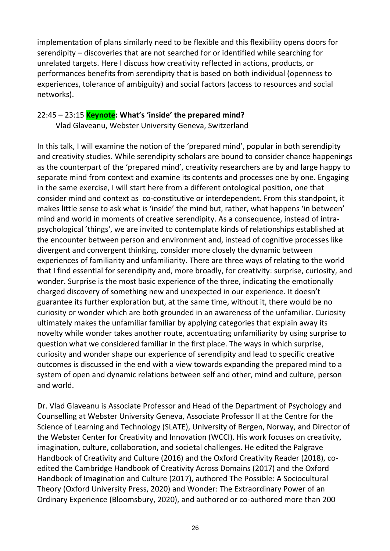implementation of plans similarly need to be flexible and this flexibility opens doors for serendipity – discoveries that are not searched for or identified while searching for unrelated targets. Here I discuss how creativity reflected in actions, products, or performances benefits from serendipity that is based on both individual (openness to experiences, tolerance of ambiguity) and social factors (access to resources and social networks).

#### 22:45 – 23:15 **Keynote: What's 'inside' the prepared mind?**

Vlad Glaveanu, Webster University Geneva, Switzerland

In this talk, I will examine the notion of the 'prepared mind', popular in both serendipity and creativity studies. While serendipity scholars are bound to consider chance happenings as the counterpart of the 'prepared mind', creativity researchers are by and large happy to separate mind from context and examine its contents and processes one by one. Engaging in the same exercise, I will start here from a different ontological position, one that consider mind and context as co-constitutive or interdependent. From this standpoint, it makes little sense to ask what is 'inside' the mind but, rather, what happens 'in between' mind and world in moments of creative serendipity. As a consequence, instead of intrapsychological 'things', we are invited to contemplate kinds of relationships established at the encounter between person and environment and, instead of cognitive processes like divergent and convergent thinking, consider more closely the dynamic between experiences of familiarity and unfamiliarity. There are three ways of relating to the world that I find essential for serendipity and, more broadly, for creativity: surprise, curiosity, and wonder. Surprise is the most basic experience of the three, indicating the emotionally charged discovery of something new and unexpected in our experience. It doesn't guarantee its further exploration but, at the same time, without it, there would be no curiosity or wonder which are both grounded in an awareness of the unfamiliar. Curiosity ultimately makes the unfamiliar familiar by applying categories that explain away its novelty while wonder takes another route, accentuating unfamiliarity by using surprise to question what we considered familiar in the first place. The ways in which surprise, curiosity and wonder shape our experience of serendipity and lead to specific creative outcomes is discussed in the end with a view towards expanding the prepared mind to a system of open and dynamic relations between self and other, mind and culture, person and world.

Dr. Vlad Glaveanu is Associate Professor and Head of the Department of Psychology and Counselling at Webster University Geneva, Associate Professor II at the Centre for the Science of Learning and Technology (SLATE), University of Bergen, Norway, and Director of the Webster Center for Creativity and Innovation (WCCI). His work focuses on creativity, imagination, culture, collaboration, and societal challenges. He edited the Palgrave Handbook of Creativity and Culture (2016) and the Oxford Creativity Reader (2018), coedited the Cambridge Handbook of Creativity Across Domains (2017) and the Oxford Handbook of Imagination and Culture (2017), authored The Possible: A Sociocultural Theory (Oxford University Press, 2020) and Wonder: The Extraordinary Power of an Ordinary Experience (Bloomsbury, 2020), and authored or co-authored more than 200